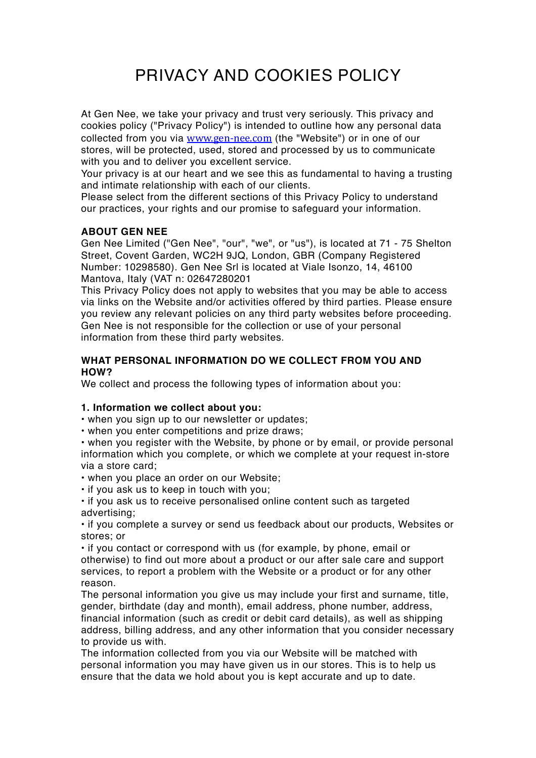# PRIVACY AND COOKIES POLICY

At Gen Nee, we take your privacy and trust very seriously. This privacy and cookies policy ("Privacy Policy") is intended to outline how any personal data collected from you via [www.gen-nee.com](http://www.gen-nee.com) (the "Website") or in one of our stores, will be protected, used, stored and processed by us to communicate with you and to deliver you excellent service.

Your privacy is at our heart and we see this as fundamental to having a trusting and intimate relationship with each of our clients.

Please select from the different sections of this Privacy Policy to understand our practices, your rights and our promise to safeguard your information.

## **ABOUT GEN NEE**

Gen Nee Limited ("Gen Nee", "our", "we", or "us"), is located at 71 - 75 Shelton Street, Covent Garden, WC2H 9JQ, London, GBR (Company Registered Number: 10298580). Gen Nee Srl is located at Viale Isonzo, 14, 46100 Mantova, Italy (VAT n: 02647280201

This Privacy Policy does not apply to websites that you may be able to access via links on the Website and/or activities offered by third parties. Please ensure you review any relevant policies on any third party websites before proceeding. Gen Nee is not responsible for the collection or use of your personal information from these third party websites.

## **WHAT PERSONAL INFORMATION DO WE COLLECT FROM YOU AND HOW?**

We collect and process the following types of information about you:

#### **1. Information we collect about you:**

• when you sign up to our newsletter or updates;

• when you enter competitions and prize draws;

• when you register with the Website, by phone or by email, or provide personal information which you complete, or which we complete at your request in-store via a store card;

• when you place an order on our Website;

• if you ask us to keep in touch with you;

• if you ask us to receive personalised online content such as targeted advertising;

• if you complete a survey or send us feedback about our products, Websites or stores; or

• if you contact or correspond with us (for example, by phone, email or otherwise) to find out more about a product or our after sale care and support services, to report a problem with the Website or a product or for any other reason.

The personal information you give us may include your first and surname, title, gender, birthdate (day and month), email address, phone number, address, financial information (such as credit or debit card details), as well as shipping address, billing address, and any other information that you consider necessary to provide us with.

The information collected from you via our Website will be matched with personal information you may have given us in our stores. This is to help us ensure that the data we hold about you is kept accurate and up to date.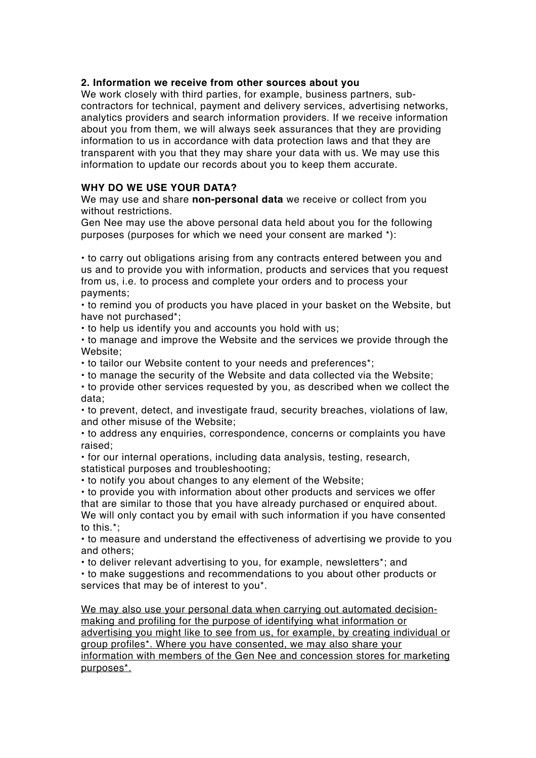#### **2. Information we receive from other sources about you**

We work closely with third parties, for example, business partners, subcontractors for technical, payment and delivery services, advertising networks, analytics providers and search information providers. If we receive information about you from them, we will always seek assurances that they are providing information to us in accordance with data protection laws and that they are transparent with you that they may share your data with us. We may use this information to update our records about you to keep them accurate.

## **WHY DO WE USE YOUR DATA?**

We may use and share **non-personal data** we receive or collect from you without restrictions.

Gen Nee may use the above personal data held about you for the following purposes (purposes for which we need your consent are marked \*):

• to carry out obligations arising from any contracts entered between you and us and to provide you with information, products and services that you request from us, i.e. to process and complete your orders and to process your payments;

• to remind you of products you have placed in your basket on the Website, but have not purchased\*;

• to help us identify you and accounts you hold with us;

• to manage and improve the Website and the services we provide through the Website:

• to tailor our Website content to your needs and preferences\*;

• to manage the security of the Website and data collected via the Website;

• to provide other services requested by you, as described when we collect the data;

• to prevent, detect, and investigate fraud, security breaches, violations of law, and other misuse of the Website;

• to address any enquiries, correspondence, concerns or complaints you have raised;

• for our internal operations, including data analysis, testing, research, statistical purposes and troubleshooting;

• to notify you about changes to any element of the Website;

• to provide you with information about other products and services we offer that are similar to those that you have already purchased or enquired about. We will only contact you by email with such information if you have consented to this.\*;

• to measure and understand the effectiveness of advertising we provide to you and others;

• to deliver relevant advertising to you, for example, newsletters\*; and

• to make suggestions and recommendations to you about other products or services that may be of interest to you\*.

We may also use your personal data when carrying out automated decisionmaking and profiling for the purpose of identifying what information or advertising you might like to see from us, for example, by creating individual or group profiles\*. Where you have consented, we may also share your information with members of the Gen Nee and concession stores for marketing purposes\*.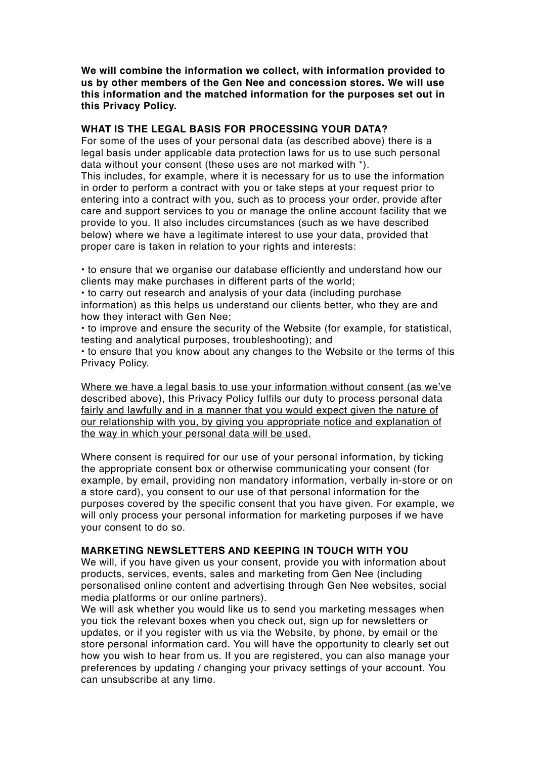**We will combine the information we collect, with information provided to us by other members of the Gen Nee and concession stores. We will use this information and the matched information for the purposes set out in this Privacy Policy.**

## **WHAT IS THE LEGAL BASIS FOR PROCESSING YOUR DATA?**

For some of the uses of your personal data (as described above) there is a legal basis under applicable data protection laws for us to use such personal data without your consent (these uses are not marked with \*).

This includes, for example, where it is necessary for us to use the information in order to perform a contract with you or take steps at your request prior to entering into a contract with you, such as to process your order, provide after care and support services to you or manage the online account facility that we provide to you. It also includes circumstances (such as we have described below) where we have a legitimate interest to use your data, provided that proper care is taken in relation to your rights and interests:

• to ensure that we organise our database efficiently and understand how our clients may make purchases in different parts of the world;

• to carry out research and analysis of your data (including purchase information) as this helps us understand our clients better, who they are and how they interact with Gen Nee;

• to improve and ensure the security of the Website (for example, for statistical, testing and analytical purposes, troubleshooting); and

• to ensure that you know about any changes to the Website or the terms of this Privacy Policy.

Where we have a legal basis to use your information without consent (as we've described above), this Privacy Policy fulfils our duty to process personal data fairly and lawfully and in a manner that you would expect given the nature of our relationship with you, by giving you appropriate notice and explanation of the way in which your personal data will be used.

Where consent is required for our use of your personal information, by ticking the appropriate consent box or otherwise communicating your consent (for example, by email, providing non mandatory information, verbally in-store or on a store card), you consent to our use of that personal information for the purposes covered by the specific consent that you have given. For example, we will only process your personal information for marketing purposes if we have your consent to do so.

## **MARKETING NEWSLETTERS AND KEEPING IN TOUCH WITH YOU**

We will, if you have given us your consent, provide you with information about products, services, events, sales and marketing from Gen Nee (including personalised online content and advertising through Gen Nee websites, social media platforms or our online partners).

We will ask whether you would like us to send you marketing messages when you tick the relevant boxes when you check out, sign up for newsletters or updates, or if you register with us via the Website, by phone, by email or the store personal information card. You will have the opportunity to clearly set out how you wish to hear from us. If you are registered, you can also manage your preferences by updating / changing your privacy settings of your account. You can unsubscribe at any time.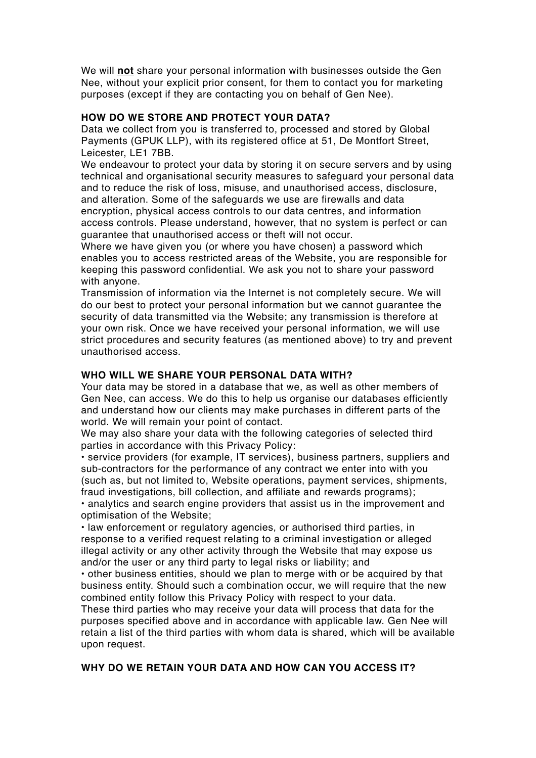We will **not** share your personal information with businesses outside the Gen Nee, without your explicit prior consent, for them to contact you for marketing purposes (except if they are contacting you on behalf of Gen Nee).

## **HOW DO WE STORE AND PROTECT YOUR DATA?**

Data we collect from you is transferred to, processed and stored by Global Payments (GPUK LLP), with its registered office at 51, De Montfort Street, Leicester, LE1 7BB.

We endeavour to protect your data by storing it on secure servers and by using technical and organisational security measures to safeguard your personal data and to reduce the risk of loss, misuse, and unauthorised access, disclosure, and alteration. Some of the safeguards we use are firewalls and data encryption, physical access controls to our data centres, and information access controls. Please understand, however, that no system is perfect or can guarantee that unauthorised access or theft will not occur.

Where we have given you (or where you have chosen) a password which enables you to access restricted areas of the Website, you are responsible for keeping this password confidential. We ask you not to share your password with anyone.

Transmission of information via the Internet is not completely secure. We will do our best to protect your personal information but we cannot guarantee the security of data transmitted via the Website; any transmission is therefore at your own risk. Once we have received your personal information, we will use strict procedures and security features (as mentioned above) to try and prevent unauthorised access.

## **WHO WILL WE SHARE YOUR PERSONAL DATA WITH?**

Your data may be stored in a database that we, as well as other members of Gen Nee, can access. We do this to help us organise our databases efficiently and understand how our clients may make purchases in different parts of the world. We will remain your point of contact.

We may also share your data with the following categories of selected third parties in accordance with this Privacy Policy:

• service providers (for example, IT services), business partners, suppliers and sub-contractors for the performance of any contract we enter into with you (such as, but not limited to, Website operations, payment services, shipments, fraud investigations, bill collection, and affiliate and rewards programs);

• analytics and search engine providers that assist us in the improvement and optimisation of the Website;

• law enforcement or regulatory agencies, or authorised third parties, in response to a verified request relating to a criminal investigation or alleged illegal activity or any other activity through the Website that may expose us and/or the user or any third party to legal risks or liability; and

• other business entities, should we plan to merge with or be acquired by that business entity. Should such a combination occur, we will require that the new combined entity follow this Privacy Policy with respect to your data.

These third parties who may receive your data will process that data for the purposes specified above and in accordance with applicable law. Gen Nee will retain a list of the third parties with whom data is shared, which will be available upon request.

## **WHY DO WE RETAIN YOUR DATA AND HOW CAN YOU ACCESS IT?**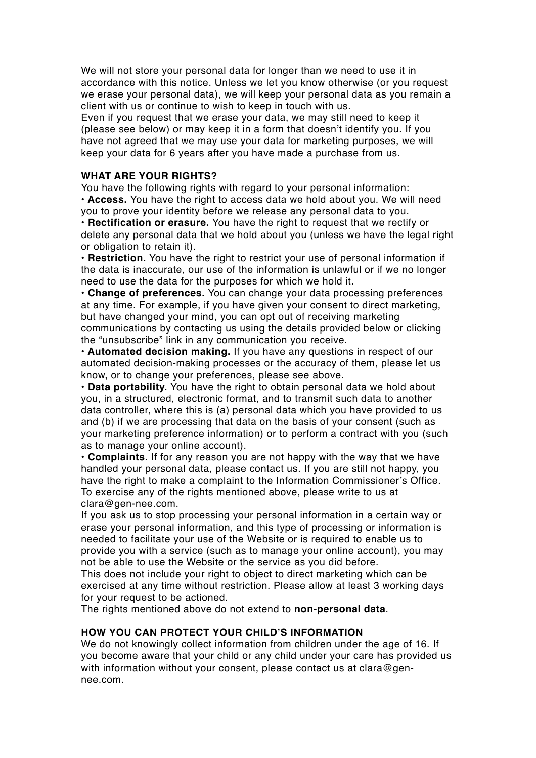We will not store your personal data for longer than we need to use it in accordance with this notice. Unless we let you know otherwise (or you request we erase your personal data), we will keep your personal data as you remain a client with us or continue to wish to keep in touch with us.

Even if you request that we erase your data, we may still need to keep it (please see below) or may keep it in a form that doesn't identify you. If you have not agreed that we may use your data for marketing purposes, we will keep your data for 6 years after you have made a purchase from us.

## **WHAT ARE YOUR RIGHTS?**

You have the following rights with regard to your personal information: **• Access.** You have the right to access data we hold about you. We will need you to prove your identity before we release any personal data to you.

**• Rectification or erasure.** You have the right to request that we rectify or delete any personal data that we hold about you (unless we have the legal right or obligation to retain it).

**• Restriction.** You have the right to restrict your use of personal information if the data is inaccurate, our use of the information is unlawful or if we no longer need to use the data for the purposes for which we hold it.

**• Change of preferences.** You can change your data processing preferences at any time. For example, if you have given your consent to direct marketing, but have changed your mind, you can opt out of receiving marketing communications by contacting us using the details provided below or clicking the "unsubscribe" link in any communication you receive.

**• Automated decision making.** If you have any questions in respect of our automated decision-making processes or the accuracy of them, please let us know, or to change your preferences, please see above.

**• Data portability.** You have the right to obtain personal data we hold about you, in a structured, electronic format, and to transmit such data to another data controller, where this is (a) personal data which you have provided to us and (b) if we are processing that data on the basis of your consent (such as your marketing preference information) or to perform a contract with you (such as to manage your online account).

**• Complaints.** If for any reason you are not happy with the way that we have handled your personal data, please contact us. If you are still not happy, you have the right to make a complaint to the Information Commissioner's Office. To exercise any of the rights mentioned above, please write to us at clara@gen-nee.com.

If you ask us to stop processing your personal information in a certain way or erase your personal information, and this type of processing or information is needed to facilitate your use of the Website or is required to enable us to provide you with a service (such as to manage your online account), you may not be able to use the Website or the service as you did before.

This does not include your right to object to direct marketing which can be exercised at any time without restriction. Please allow at least 3 working days for your request to be actioned.

The rights mentioned above do not extend to **non-personal data**.

## **HOW YOU CAN PROTECT YOUR CHILD'S INFORMATION**

We do not knowingly collect information from children under the age of 16. If you become aware that your child or any child under your care has provided us with information without your consent, please contact us at clara@gennee.com.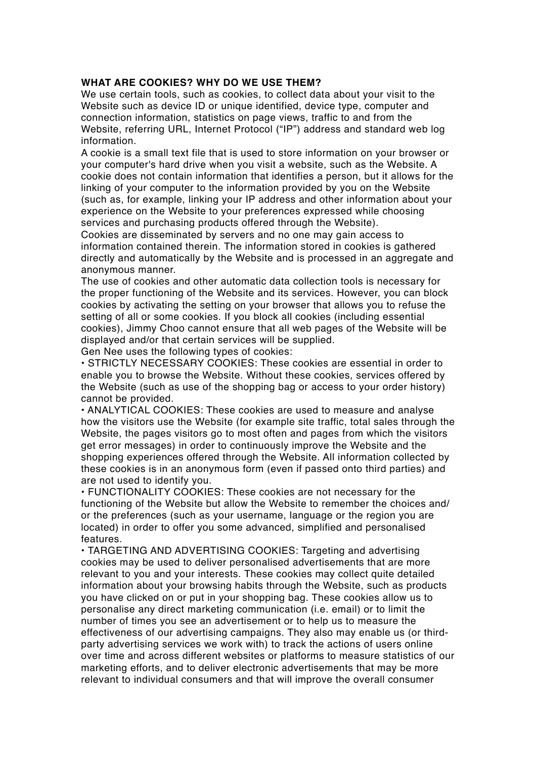#### **WHAT ARE COOKIES? WHY DO WE USE THEM?**

We use certain tools, such as cookies, to collect data about your visit to the Website such as device ID or unique identified, device type, computer and connection information, statistics on page views, traffic to and from the Website, referring URL, Internet Protocol ("IP") address and standard web log information.

A cookie is a small text file that is used to store information on your browser or your computer's hard drive when you visit a website, such as the Website. A cookie does not contain information that identifies a person, but it allows for the linking of your computer to the information provided by you on the Website (such as, for example, linking your IP address and other information about your experience on the Website to your preferences expressed while choosing services and purchasing products offered through the Website).

Cookies are disseminated by servers and no one may gain access to information contained therein. The information stored in cookies is gathered directly and automatically by the Website and is processed in an aggregate and anonymous manner.

The use of cookies and other automatic data collection tools is necessary for the proper functioning of the Website and its services. However, you can block cookies by activating the setting on your browser that allows you to refuse the setting of all or some cookies. If you block all cookies (including essential cookies), Jimmy Choo cannot ensure that all web pages of the Website will be displayed and/or that certain services will be supplied.

Gen Nee uses the following types of cookies:

• STRICTLY NECESSARY COOKIES: These cookies are essential in order to enable you to browse the Website. Without these cookies, services offered by the Website (such as use of the shopping bag or access to your order history) cannot be provided.

• ANALYTICAL COOKIES: These cookies are used to measure and analyse how the visitors use the Website (for example site traffic, total sales through the Website, the pages visitors go to most often and pages from which the visitors get error messages) in order to continuously improve the Website and the shopping experiences offered through the Website. All information collected by these cookies is in an anonymous form (even if passed onto third parties) and are not used to identify you.

• FUNCTIONALITY COOKIES: These cookies are not necessary for the functioning of the Website but allow the Website to remember the choices and/ or the preferences (such as your username, language or the region you are located) in order to offer you some advanced, simplified and personalised features.

• TARGETING AND ADVERTISING COOKIES: Targeting and advertising cookies may be used to deliver personalised advertisements that are more relevant to you and your interests. These cookies may collect quite detailed information about your browsing habits through the Website, such as products you have clicked on or put in your shopping bag. These cookies allow us to personalise any direct marketing communication (i.e. email) or to limit the number of times you see an advertisement or to help us to measure the effectiveness of our advertising campaigns. They also may enable us (or thirdparty advertising services we work with) to track the actions of users online over time and across different websites or platforms to measure statistics of our marketing efforts, and to deliver electronic advertisements that may be more relevant to individual consumers and that will improve the overall consumer